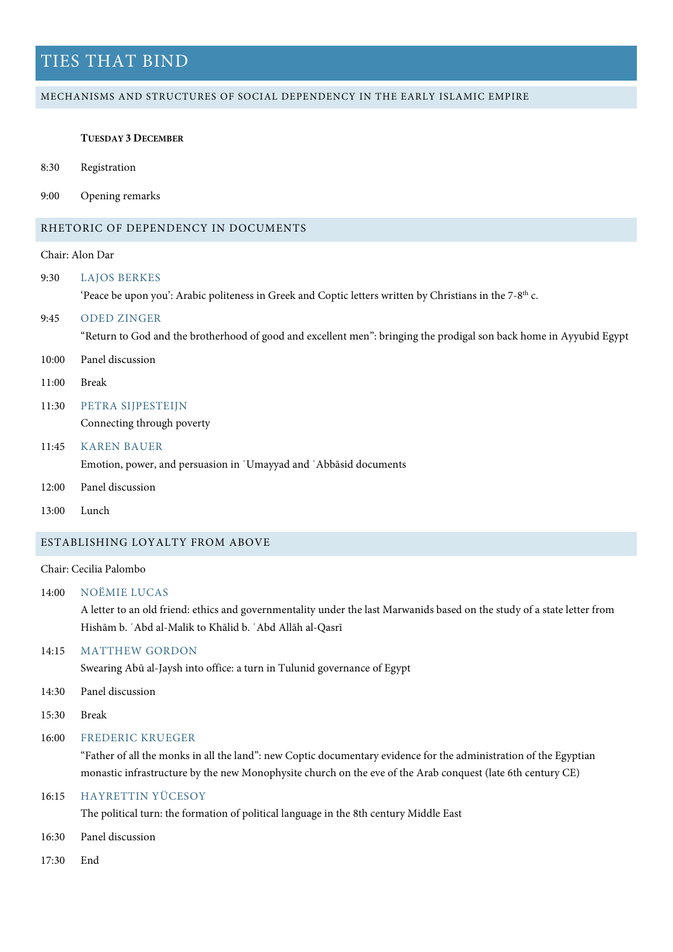## MECHANISMS AND STRUCTURES OF SOCIAL DEPENDENCY IN THE EARLY ISLAMIC EMPIRE

#### **TUESDAY 3 DECEMBER**

- 8:30 Registration
- 9:00 Opening remarks

# RHETORIC OF DEPENDENCY IN DOCUMENTS

# Chair: Alon Dar

- 9:30 LAJOS BERKES 'Peace be upon you': Arabic politeness in Greek and Coptic letters written by Christians in the 7-8th c. 9:45 ODED ZINGER "Return to God and the brotherhood of good and excellent men": bringing the prodigal son back home in Ayyubid Egypt 10:00 Panel discussion
- 11:00 Break
- 11:30 PETRA SIJPESTEIJN

Connecting through poverty

- 11:45 KAREN BAUER Emotion, power, and persuasion in ʿUmayyad and ʿAbbāsid documents
- 12:00 Panel discussion
- 13:00 Lunch

## ESTABLISHING LOYALTY FROM ABOVE

# Chair: Cecilia Palombo

14:00 NOËMIE LUCAS

A letter to an old friend: ethics and governmentality under the last Marwanids based on the study of a state letter from Hishām b. ʿAbd al-Malik to Khālid b. ʿAbd Allāh al-Qasrī

## 14:15 MATTHEW GORDON

Swearing Abū al-Jaysh into office: a turn in Tulunid governance of Egypt

- 14:30 Panel discussion
- 15:30 Break

## 16:00 FREDERIC KRUEGER

"Father of all the monks in all the land": new Coptic documentary evidence for the administration of the Egyptian monastic infrastructure by the new Monophysite church on the eve of the Arab conquest (late 6th century CE)

# 16:15 HAYRETTIN YÜCESOY

The political turn: the formation of political language in the 8th century Middle East

- 16:30 Panel discussion
- 17:30 End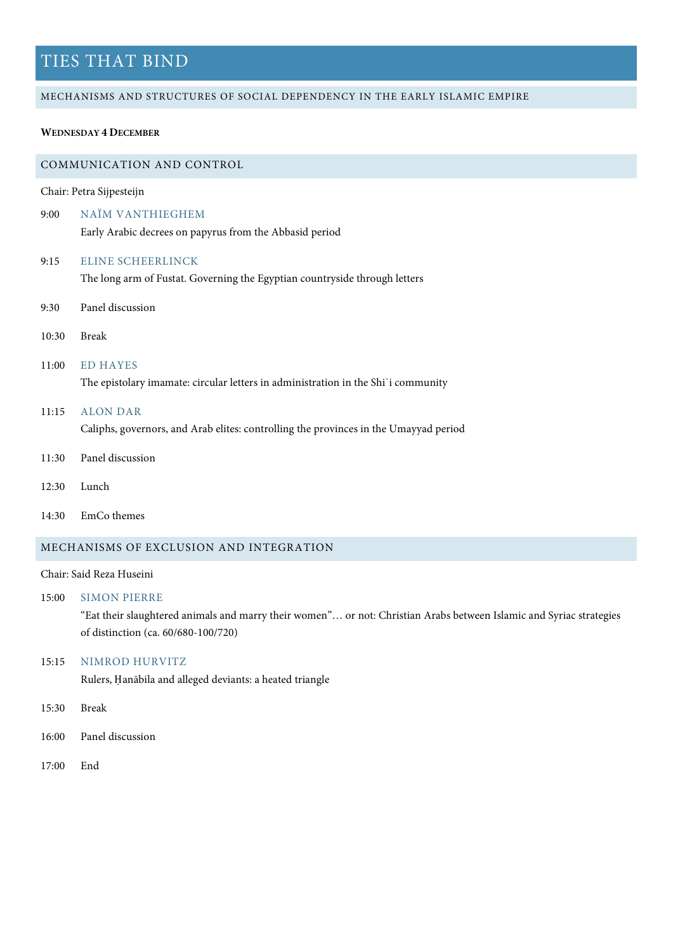#### MECHANISMS AND STRUCTURES OF SOCIAL DEPENDENCY IN THE EARLY ISLAMIC EMPIRE

## **WEDNESDAY 4 DECEMBER**

## COMMUNICATION AND CONTROL

Chair: Petra Sijpesteijn

- 9:00 NAÏM VANTHIEGHEM Early Arabic decrees on papyrus from the Abbasid period
- 9:15 ELINE SCHEERLINCK

The long arm of Fustat. Governing the Egyptian countryside through letters

- 9:30 Panel discussion
- 10:30 Break
- 11:00 ED HAYES

The epistolary imamate: circular letters in administration in the Shi'i community

11:15 ALON DAR

Caliphs, governors, and Arab elites: controlling the provinces in the Umayyad period

- 11:30 Panel discussion
- 12:30 Lunch
- 14:30 EmCo themes

# MECHANISMS OF EXCLUSION AND INTEGRATION

## Chair: Said Reza Huseini

15:00 SIMON PIERRE

"Eat their slaughtered animals and marry their women"… or not: Christian Arabs between Islamic and Syriac strategies of distinction (ca. 60/680-100/720)

# 15:15 NIMROD HURVITZ

Rulers, Ḥanābila and alleged deviants: a heated triangle

- 15:30 Break
- 16:00 Panel discussion
- 17:00 End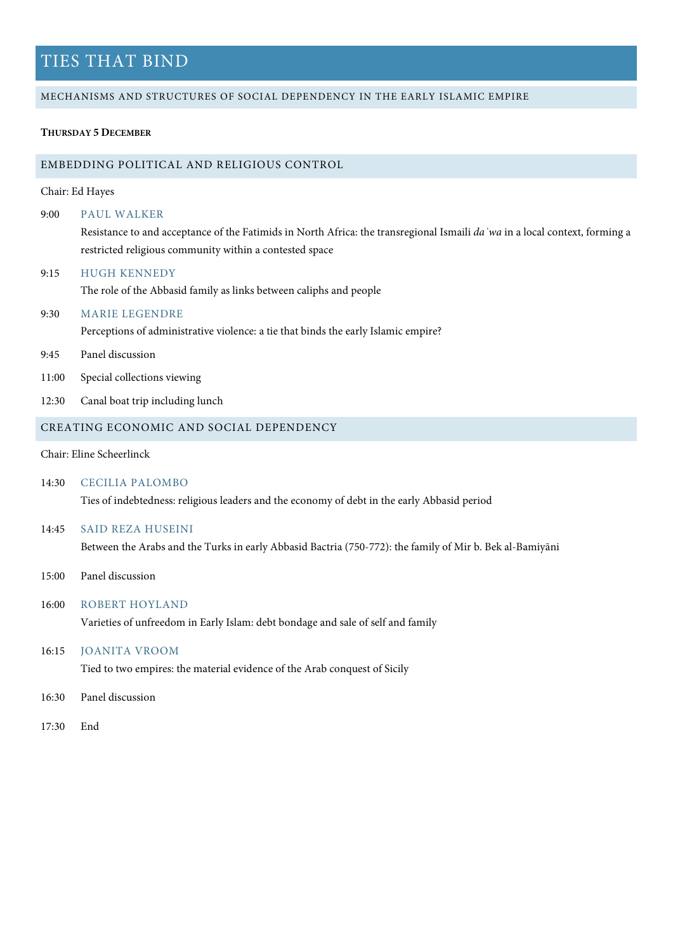### MECHANISMS AND STRUCTURES OF SOCIAL DEPENDENCY IN THE EARLY ISLAMIC EMPIRE

## **THURSDAY 5 DECEMBER**

#### EMBEDDING POLITICAL AND RELIGIOUS CONTROL

# Chair: Ed Hayes

#### 9:00 PAUL WALKER

Resistance to and acceptance of the Fatimids in North Africa: the transregional Ismaili *daʿwa* in a local context, forming a restricted religious community within a contested space

#### 9:15 HUGH KENNEDY

The role of the Abbasid family as links between caliphs and people

## 9:30 MARIE LEGENDRE

Perceptions of administrative violence: a tie that binds the early Islamic empire?

- 9:45 Panel discussion
- 11:00 Special collections viewing
- 12:30 Canal boat trip including lunch

# CREATING ECONOMIC AND SOCIAL DEPENDENCY

Chair: Eline Scheerlinck

14:30 CECILIA PALOMBO

Ties of indebtedness: religious leaders and the economy of debt in the early Abbasid period

#### 14:45 SAID REZA HUSEINI

Between the Arabs and the Turks in early Abbasid Bactria (750-772): the family of Mir b. Bek al-Bamiyāni

15:00 Panel discussion

#### 16:00 ROBERT HOYLAND

Varieties of unfreedom in Early Islam: debt bondage and sale of self and family

## 16:15 JOANITA VROOM

Tied to two empires: the material evidence of the Arab conquest of Sicily

- 16:30 Panel discussion
- 17:30 End